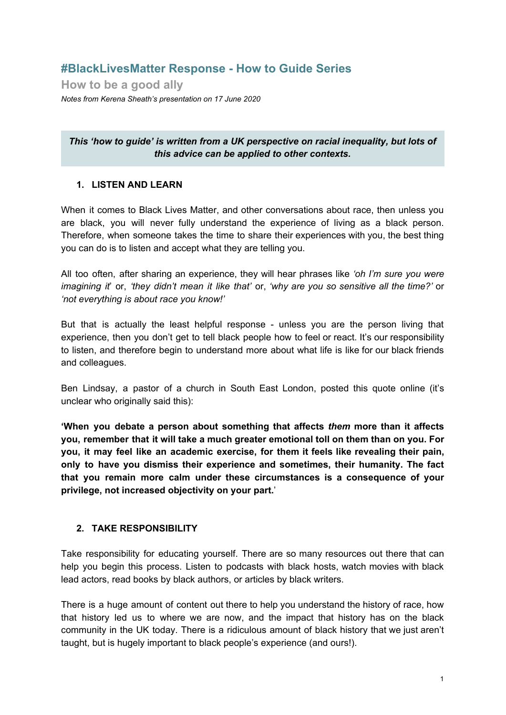# **#BlackLivesMatter Response - How to Guide Series**

**How to be a good ally** *Notes from Kerena Sheath's presentation on 17 June 2020*

*This 'how to guide' is written from a UK perspective on racial inequality, but lots of this advice can be applied to other contexts.*

#### **1. LISTEN AND LEARN**

When it comes to Black Lives Matter, and other conversations about race, then unless you are black, you will never fully understand the experience of living as a black person. Therefore, when someone takes the time to share their experiences with you, the best thing you can do is to listen and accept what they are telling you.

All too often, after sharing an experience, they will hear phrases like *'oh I'm sure you were imagining it*' or, *'they didn't mean it like that'* or, *'why are you so sensitive all the time?'* or *'not everything is about race you know!'*

But that is actually the least helpful response - unless you are the person living that experience, then you don't get to tell black people how to feel or react. It's our responsibility to listen, and therefore begin to understand more about what life is like for our black friends and colleagues.

Ben Lindsay, a pastor of a church in South East London, posted this quote online (it's unclear who originally said this):

**'When you debate a person about something that affects** *them* **more than it affects you, remember that it will take a much greater emotional toll on them than on you. For you, it may feel like an academic exercise, for them it feels like revealing their pain, only to have you dismiss their experience and sometimes, their humanity. The fact that you remain more calm under these circumstances is a consequence of your privilege, not increased objectivity on your part.**'

## **2. TAKE RESPONSIBILITY**

Take responsibility for educating yourself. There are so many resources out there that can help you begin this process. Listen to podcasts with black hosts, watch movies with black lead actors, read books by black authors, or articles by black writers.

There is a huge amount of content out there to help you understand the history of race, how that history led us to where we are now, and the impact that history has on the black community in the UK today. There is a ridiculous amount of black history that we just aren't taught, but is hugely important to black people's experience (and ours!).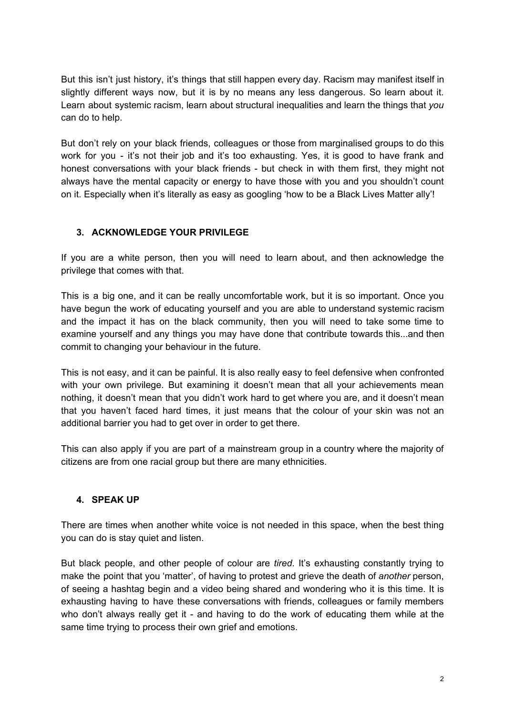But this isn't just history, it's things that still happen every day. Racism may manifest itself in slightly different ways now, but it is by no means any less dangerous. So learn about it. Learn about systemic racism, learn about structural inequalities and learn the things that *you* can do to help.

But don't rely on your black friends, colleagues or those from marginalised groups to do this work for you - it's not their job and it's too exhausting. Yes, it is good to have frank and honest conversations with your black friends - but check in with them first, they might not always have the mental capacity or energy to have those with you and you shouldn't count on it. Especially when it's literally as easy as googling 'how to be a Black Lives Matter ally'!

## **3. ACKNOWLEDGE YOUR PRIVILEGE**

If you are a white person, then you will need to learn about, and then acknowledge the privilege that comes with that.

This is a big one, and it can be really uncomfortable work, but it is so important. Once you have begun the work of educating yourself and you are able to understand systemic racism and the impact it has on the black community, then you will need to take some time to examine yourself and any things you may have done that contribute towards this...and then commit to changing your behaviour in the future.

This is not easy, and it can be painful. It is also really easy to feel defensive when confronted with your own privilege. But examining it doesn't mean that all your achievements mean nothing, it doesn't mean that you didn't work hard to get where you are, and it doesn't mean that you haven't faced hard times, it just means that the colour of your skin was not an additional barrier you had to get over in order to get there.

This can also apply if you are part of a mainstream group in a country where the majority of citizens are from one racial group but there are many ethnicities.

## **4. SPEAK UP**

There are times when another white voice is not needed in this space, when the best thing you can do is stay quiet and listen.

But black people, and other people of colour are *tired*. It's exhausting constantly trying to make the point that you 'matter', of having to protest and grieve the death of *another* person, of seeing a hashtag begin and a video being shared and wondering who it is this time. It is exhausting having to have these conversations with friends, colleagues or family members who don't always really get it - and having to do the work of educating them while at the same time trying to process their own grief and emotions.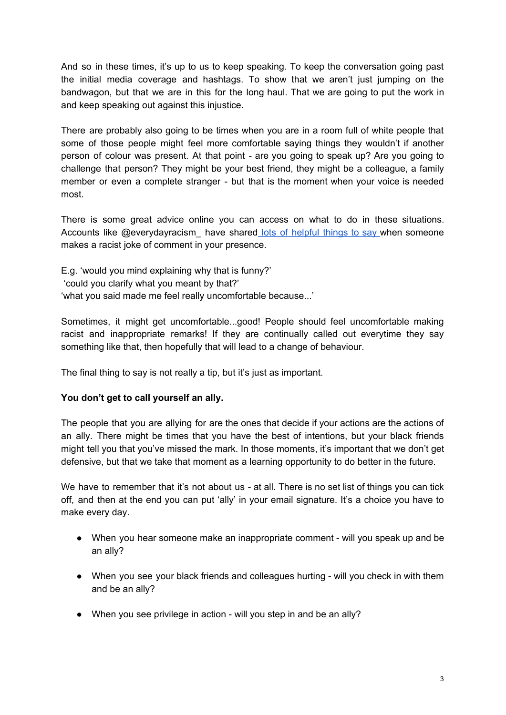And so in these times, it's up to us to keep speaking. To keep the conversation going past the initial media coverage and hashtags. To show that we aren't just jumping on the bandwagon, but that we are in this for the long haul. That we are going to put the work in and keep speaking out against this injustice.

There are probably also going to be times when you are in a room full of white people that some of those people might feel more comfortable saying things they wouldn't if another person of colour was present. At that point - are you going to speak up? Are you going to challenge that person? They might be your best friend, they might be a colleague, a family member or even a complete stranger - but that is the moment when your voice is needed most.

There is some great advice online you can access on what to do in these situations. Accounts like @everydayracism have shared lots of [helpful](https://www.instagram.com/p/CBhp4JslVaA/?utm_source=ig_web_copy_link) things to say when someone makes a racist joke of comment in your presence.

E.g. 'would you mind explaining why that is funny?' 'could you clarify what you meant by that?' 'what you said made me feel really uncomfortable because...'

Sometimes, it might get uncomfortable...good! People should feel uncomfortable making racist and inappropriate remarks! If they are continually called out everytime they say something like that, then hopefully that will lead to a change of behaviour.

The final thing to say is not really a tip, but it's just as important.

## **You don't get to call yourself an ally.**

The people that you are allying for are the ones that decide if your actions are the actions of an ally. There might be times that you have the best of intentions, but your black friends might tell you that you've missed the mark. In those moments, it's important that we don't get defensive, but that we take that moment as a learning opportunity to do better in the future.

We have to remember that it's not about us - at all. There is no set list of things you can tick off, and then at the end you can put 'ally' in your email signature. It's a choice you have to make every day.

- When you hear someone make an inappropriate comment will you speak up and be an ally?
- When you see your black friends and colleagues hurting will you check in with them and be an ally?
- When you see privilege in action will you step in and be an ally?